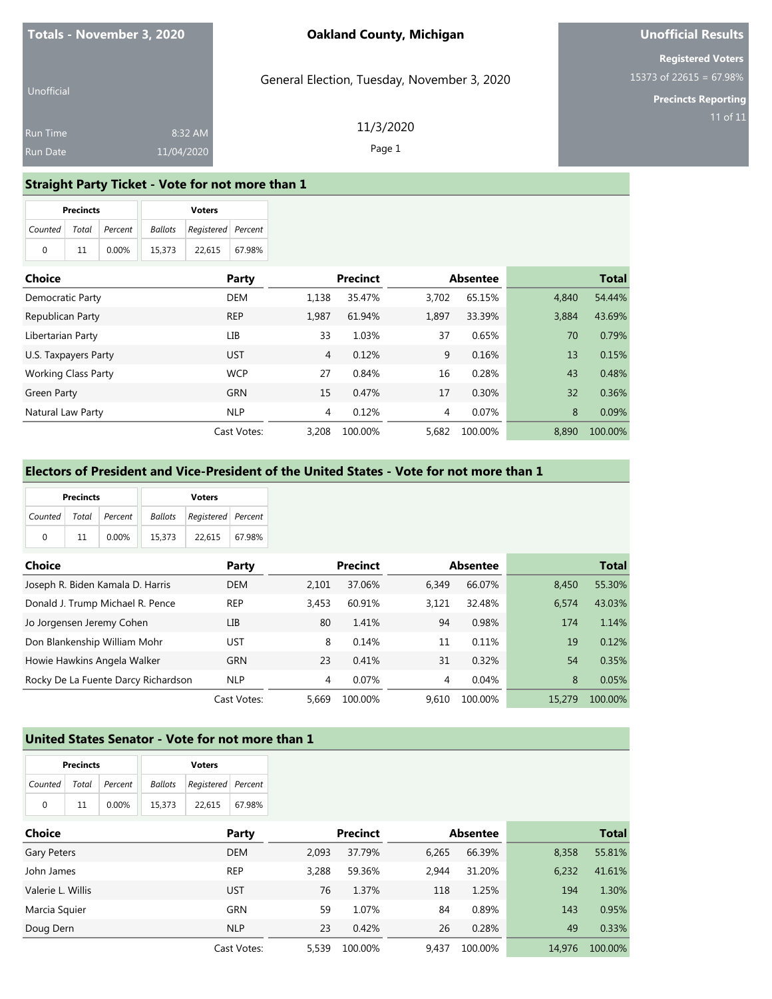General Election, Tuesday, November 3, 2020

11/3/2020 Page 1

## **Unofficial Results**

**Registered Voters** 15373 of 22615 = 67.98%

**Precincts Reporting**

| Unofficial      |            |  |
|-----------------|------------|--|
| <b>Run Time</b> | 8:32 AM    |  |
| <b>Run Date</b> | 11/04/2020 |  |

**Straight Party Ticket - Vote for not more than 1**

|              |       |                 |       |                 |                |              | <b>Voters</b>      |                |         | <b>Precincts</b> |                            |
|--------------|-------|-----------------|-------|-----------------|----------------|--------------|--------------------|----------------|---------|------------------|----------------------------|
|              |       |                 |       |                 |                |              | Registered Percent | <b>Ballots</b> | Percent | Total            | Counted                    |
|              |       |                 |       |                 |                | 67.98%       | 22,615             | 15,373         | 0.00%   | 11               | $\mathbf 0$                |
| <b>Total</b> |       | <b>Absentee</b> |       | <b>Precinct</b> |                | <b>Party</b> |                    |                |         |                  | Choice                     |
| 54.44%       | 4,840 | 65.15%          | 3,702 | 35.47%          | 1,138          | <b>DEM</b>   |                    |                |         |                  | Democratic Party           |
| 43.69%       | 3,884 | 33.39%          | 1,897 | 61.94%          | 1,987          | <b>REP</b>   |                    |                |         |                  | Republican Party           |
| 0.79%<br>70  |       | 0.65%           | 37    | 1.03%           | 33             | LІВ          |                    |                |         |                  | Libertarian Party          |
| 13<br>0.15%  |       | 0.16%           | 9     | 0.12%           | $\overline{4}$ | <b>UST</b>   |                    |                |         |                  | U.S. Taxpayers Party       |
| 0.48%<br>43  |       | 0.28%           | 16    | 0.84%           | 27             | <b>WCP</b>   |                    |                |         |                  | <b>Working Class Party</b> |
| 0.36%<br>32  |       | 0.30%           | 17    | 0.47%           | 15             | <b>GRN</b>   |                    |                |         |                  | Green Party                |
| 8<br>0.09%   |       | 0.07%           | 4     | 0.12%           | $\overline{4}$ | <b>NLP</b>   |                    |                |         |                  | Natural Law Party          |
| 100.00%      | 8,890 | 100.00%         | 5,682 | 100.00%         | 3,208          | Cast Votes:  |                    |                |         |                  |                            |

#### **Electors of President and Vice-President of the United States - Vote for not more than 1**

|          | <b>Precincts</b> |                       |        | <b>Voters</b>                     |  |
|----------|------------------|-----------------------|--------|-----------------------------------|--|
|          |                  | Counted Total Percent |        | <b>Ballots</b> Registered Percent |  |
| $\Omega$ | 11               | 0.00%                 | 15.373 | 22.615 67.98%                     |  |

| <b>Choice</b>                       | Party       |       | <b>Precinct</b> |       | <b>Absentee</b> |        | <b>Total</b> |
|-------------------------------------|-------------|-------|-----------------|-------|-----------------|--------|--------------|
| Joseph R. Biden Kamala D. Harris    | <b>DEM</b>  | 2.101 | 37.06%          | 6.349 | 66.07%          | 8.450  | 55.30%       |
| Donald J. Trump Michael R. Pence    | <b>REP</b>  | 3.453 | 60.91%          | 3.121 | 32.48%          | 6.574  | 43.03%       |
| Jo Jorgensen Jeremy Cohen           | LІВ         | 80    | 1.41%           | 94    | 0.98%           | 174    | 1.14%        |
| Don Blankenship William Mohr        | <b>UST</b>  | 8     | 0.14%           | 11    | 0.11%           | 19     | 0.12%        |
| Howie Hawkins Angela Walker         | <b>GRN</b>  | 23    | 0.41%           | 31    | 0.32%           | 54     | 0.35%        |
| Rocky De La Fuente Darcy Richardson | <b>NLP</b>  | 4     | 0.07%           | 4     | 0.04%           | 8      | 0.05%        |
|                                     | Cast Votes: | 5.669 | 100.00%         | 9.610 | 100.00%         | 15.279 | 100.00%      |

#### **United States Senator - Vote for not more than 1**

| <b>Precincts</b> |    |                       |        | <b>Voters</b>              |        |
|------------------|----|-----------------------|--------|----------------------------|--------|
|                  |    | Counted Total Percent |        | Ballots Registered Percent |        |
| $\Omega$         | 11 | $0.00\%$              | 15.373 | 22.615                     | 67.98% |

| <b>Choice</b>     | Party       |       | <b>Precinct</b> |       | Absentee |        | <b>Total</b> |
|-------------------|-------------|-------|-----------------|-------|----------|--------|--------------|
| Gary Peters       | <b>DEM</b>  | 2.093 | 37.79%          | 6.265 | 66.39%   | 8,358  | 55.81%       |
| John James        | <b>REP</b>  | 3.288 | 59.36%          | 2.944 | 31.20%   | 6.232  | 41.61%       |
| Valerie L. Willis | UST         | 76    | 1.37%           | 118   | 1.25%    | 194    | 1.30%        |
| Marcia Squier     | <b>GRN</b>  | 59    | 1.07%           | 84    | 0.89%    | 143    | 0.95%        |
| Doug Dern         | <b>NLP</b>  | 23    | 0.42%           | 26    | 0.28%    | 49     | 0.33%        |
|                   | Cast Votes: | 5.539 | 100.00%         | 9.437 | 100.00%  | 14,976 | 100.00%      |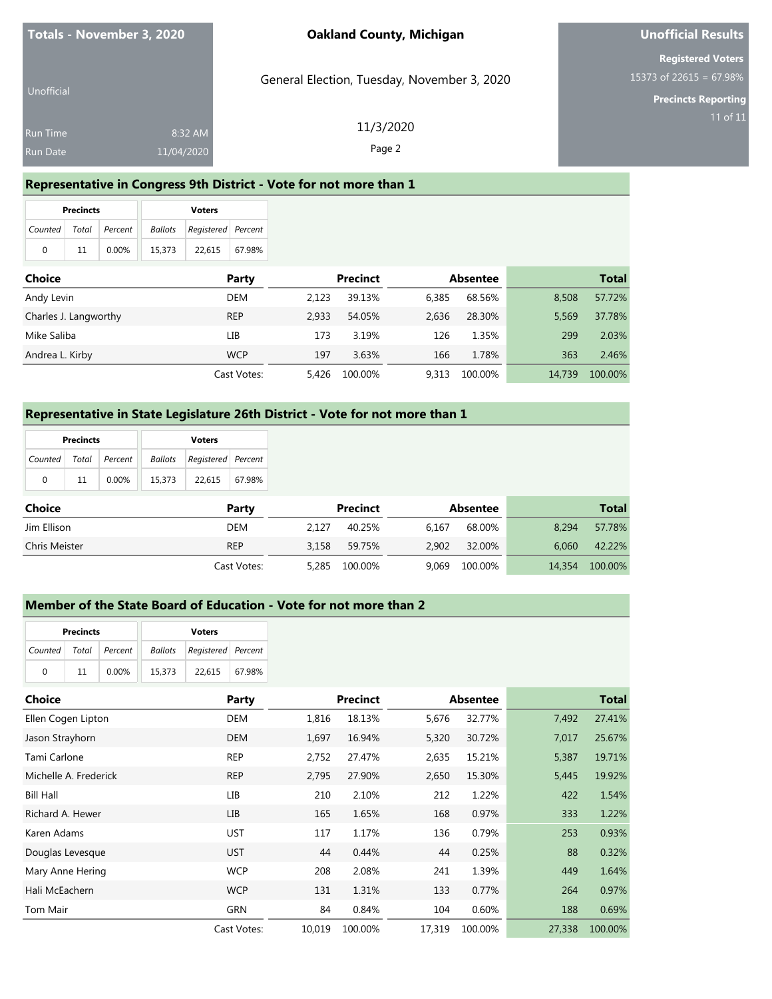## **Unofficial Results**

**Registered Voters** 15373 of 22615 = 67.98%

**Precincts Reporting**

| Unofficial           |                       | General Election, Tuesday, November 3, 2020 |
|----------------------|-----------------------|---------------------------------------------|
| Run Time<br>Run Date | 8:32 AM<br>11/04/2020 | 11/3/2020<br>Page 2                         |
|                      |                       |                                             |

### **Representative in Congress 9th District - Vote for not more than 1**

|          | <b>Precincts</b> |               |                               | <b>Voters</b> |        |  |
|----------|------------------|---------------|-------------------------------|---------------|--------|--|
| Counted  |                  | Total Percent | Registered Percent<br>Ballots |               |        |  |
| $\Omega$ | 11               | $0.00\%$      | 15,373                        | 22.615        | 67.98% |  |

| <b>Choice</b>         | Party       |       | <b>Precinct</b> |       | Absentee |        | <b>Total</b> |
|-----------------------|-------------|-------|-----------------|-------|----------|--------|--------------|
| Andy Levin            | DEM         | 2.123 | 39.13%          | 6.385 | 68.56%   | 8,508  | 57.72%       |
| Charles J. Langworthy | <b>REP</b>  | 2.933 | 54.05%          | 2.636 | 28.30%   | 5.569  | 37.78%       |
| Mike Saliba           | LІB         | 173   | 3.19%           | 126   | 1.35%    | 299    | 2.03%        |
| Andrea L. Kirby       | <b>WCP</b>  | 197   | 3.63%           | 166   | 1.78%    | 363    | 2.46%        |
|                       | Cast Votes: | 5.426 | 100.00%         | 9.313 | 100.00%  | 14.739 | 100.00%      |

#### **Representative in State Legislature 26th District - Vote for not more than 1**

| <b>Precincts</b>      |    |          |        | <b>Voters</b>                  |        |
|-----------------------|----|----------|--------|--------------------------------|--------|
| Counted Total Percent |    |          |        | Ballots   Registered   Percent |        |
| $\Omega$              | 11 | $0.00\%$ | 15.373 | 22.615                         | 67.98% |

| <b>Choice</b> | Party       |       | <b>Precinct</b> |       | Absentee |        | Total   |
|---------------|-------------|-------|-----------------|-------|----------|--------|---------|
| Jim Ellison   | DEM         | 2.127 | 40.25%          | 6.167 | 68.00%   | 8.294  | 57.78%  |
| Chris Meister | <b>REP</b>  | 3.158 | 59.75%          | 2.902 | 32.00%   | 6.060  | 42.22%  |
|               | Cast Votes: | 5.285 | 100.00%         | 9.069 | 100.00%  | 14,354 | 100.00% |

## **Member of the State Board of Education - Vote for not more than 2**

|                       | <b>Precincts</b> |       |        | <b>Voters</b>                     |  |
|-----------------------|------------------|-------|--------|-----------------------------------|--|
| Counted Total Percent |                  |       |        | <b>Ballots</b> Registered Percent |  |
| 0                     | 11               | 0.00% | 15,373 | 22.615 67.98%                     |  |

| Choice                | Party       |        | <b>Precinct</b> |        | <b>Absentee</b> |        | <b>Total</b> |
|-----------------------|-------------|--------|-----------------|--------|-----------------|--------|--------------|
| Ellen Cogen Lipton    | <b>DEM</b>  | 1,816  | 18.13%          | 5,676  | 32.77%          | 7,492  | 27.41%       |
| Jason Strayhorn       | <b>DEM</b>  | 1,697  | 16.94%          | 5,320  | 30.72%          | 7,017  | 25.67%       |
| Tami Carlone          | <b>REP</b>  | 2.752  | 27.47%          | 2,635  | 15.21%          | 5,387  | 19.71%       |
| Michelle A. Frederick | <b>REP</b>  | 2,795  | 27.90%          | 2,650  | 15.30%          | 5,445  | 19.92%       |
| <b>Bill Hall</b>      | LІВ         | 210    | 2.10%           | 212    | 1.22%           | 422    | 1.54%        |
| Richard A. Hewer      | <b>LIB</b>  | 165    | 1.65%           | 168    | 0.97%           | 333    | 1.22%        |
| Karen Adams           | <b>UST</b>  | 117    | 1.17%           | 136    | 0.79%           | 253    | 0.93%        |
| Douglas Levesque      | <b>UST</b>  | 44     | 0.44%           | 44     | 0.25%           | 88     | 0.32%        |
| Mary Anne Hering      | <b>WCP</b>  | 208    | 2.08%           | 241    | 1.39%           | 449    | 1.64%        |
| Hali McEachern        | <b>WCP</b>  | 131    | 1.31%           | 133    | 0.77%           | 264    | 0.97%        |
| Tom Mair              | <b>GRN</b>  | 84     | 0.84%           | 104    | 0.60%           | 188    | 0.69%        |
|                       | Cast Votes: | 10.019 | 100.00%         | 17,319 | 100.00%         | 27,338 | 100.00%      |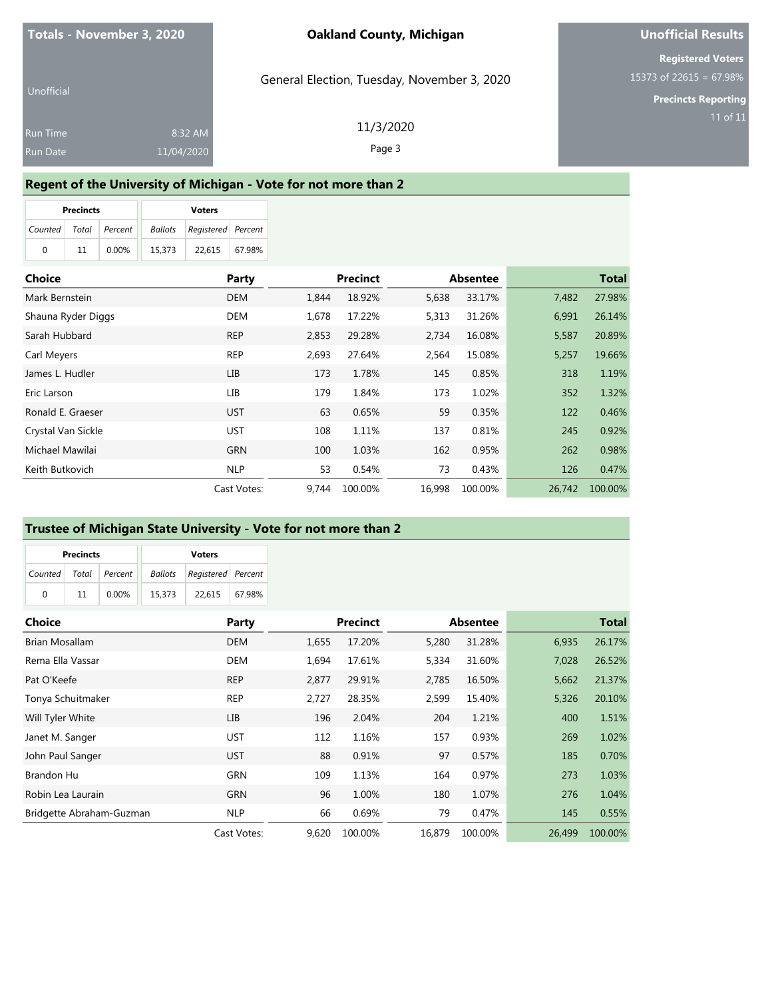## **Unofficial Results**

**Registered Voters** 15373 of 22615 = 67.98%

**Precincts Reporting**

| Unofficial      |            | General Election, Tuesday, November 3, 2020 |
|-----------------|------------|---------------------------------------------|
| <b>Run Time</b> | 8:32 AM    | 11/3/2020                                   |
| Run Date        | 11/04/2020 | Page 3                                      |

### **Regent of the University of Michigan - Vote for not more than 2**

|                       | <b>Precincts</b> |          |        | <b>Voters</b>                     |        |
|-----------------------|------------------|----------|--------|-----------------------------------|--------|
| Counted Total Percent |                  |          |        | <b>Ballots</b> Registered Percent |        |
| <sup>0</sup>          | 11               | $0.00\%$ | 15.373 | 22.615                            | 67.98% |

| <b>Choice</b>      | Party       |       | <b>Precinct</b> |        | <b>Absentee</b> |        | <b>Total</b> |
|--------------------|-------------|-------|-----------------|--------|-----------------|--------|--------------|
| Mark Bernstein     | <b>DEM</b>  | 1.844 | 18.92%          | 5,638  | 33.17%          | 7,482  | 27.98%       |
| Shauna Ryder Diggs | <b>DEM</b>  | 1,678 | 17.22%          | 5,313  | 31.26%          | 6,991  | 26.14%       |
| Sarah Hubbard      | <b>REP</b>  | 2,853 | 29.28%          | 2,734  | 16.08%          | 5,587  | 20.89%       |
| Carl Meyers        | <b>REP</b>  | 2,693 | 27.64%          | 2,564  | 15.08%          | 5,257  | 19.66%       |
| James L. Hudler    | LІВ         | 173   | 1.78%           | 145    | 0.85%           | 318    | 1.19%        |
| Eric Larson        | LІВ         | 179   | 1.84%           | 173    | 1.02%           | 352    | 1.32%        |
| Ronald E. Graeser  | <b>UST</b>  | 63    | 0.65%           | 59     | 0.35%           | 122    | 0.46%        |
| Crystal Van Sickle | UST         | 108   | 1.11%           | 137    | 0.81%           | 245    | 0.92%        |
| Michael Mawilai    | <b>GRN</b>  | 100   | 1.03%           | 162    | 0.95%           | 262    | 0.98%        |
| Keith Butkovich    | <b>NLP</b>  | 53    | 0.54%           | 73     | 0.43%           | 126    | 0.47%        |
|                    | Cast Votes: | 9.744 | 100.00%         | 16.998 | 100.00%         | 26.742 | 100.00%      |

### **Trustee of Michigan State University - Vote for not more than 2**

|         | <b>Precincts</b> |               |        | <b>Voters</b>                     |  |
|---------|------------------|---------------|--------|-----------------------------------|--|
| Counted |                  | Total Percent |        | <b>Ballots</b> Registered Percent |  |
| 0       | 11               | $0.00\%$      | 15.373 | 22.615 67.98%                     |  |

| Choice                   | Party       |       | <b>Precinct</b> |        | <b>Absentee</b> |        | <b>Total</b> |
|--------------------------|-------------|-------|-----------------|--------|-----------------|--------|--------------|
| <b>Brian Mosallam</b>    | <b>DEM</b>  | 1,655 | 17.20%          | 5,280  | 31.28%          | 6,935  | 26.17%       |
| Rema Ella Vassar         | <b>DEM</b>  | 1,694 | 17.61%          | 5,334  | 31.60%          | 7,028  | 26.52%       |
| Pat O'Keefe              | <b>REP</b>  | 2,877 | 29.91%          | 2,785  | 16.50%          | 5,662  | 21.37%       |
| Tonya Schuitmaker        | <b>REP</b>  | 2.727 | 28.35%          | 2,599  | 15.40%          | 5,326  | 20.10%       |
| Will Tyler White         | <b>LIB</b>  | 196   | 2.04%           | 204    | 1.21%           | 400    | 1.51%        |
| Janet M. Sanger          | <b>UST</b>  | 112   | 1.16%           | 157    | 0.93%           | 269    | 1.02%        |
| John Paul Sanger         | <b>UST</b>  | 88    | 0.91%           | 97     | 0.57%           | 185    | 0.70%        |
| <b>Brandon Hu</b>        | <b>GRN</b>  | 109   | 1.13%           | 164    | 0.97%           | 273    | 1.03%        |
| Robin Lea Laurain        | <b>GRN</b>  | 96    | 1.00%           | 180    | 1.07%           | 276    | 1.04%        |
| Bridgette Abraham-Guzman | <b>NLP</b>  | 66    | 0.69%           | 79     | 0.47%           | 145    | 0.55%        |
|                          | Cast Votes: | 9,620 | 100.00%         | 16.879 | 100.00%         | 26,499 | 100.00%      |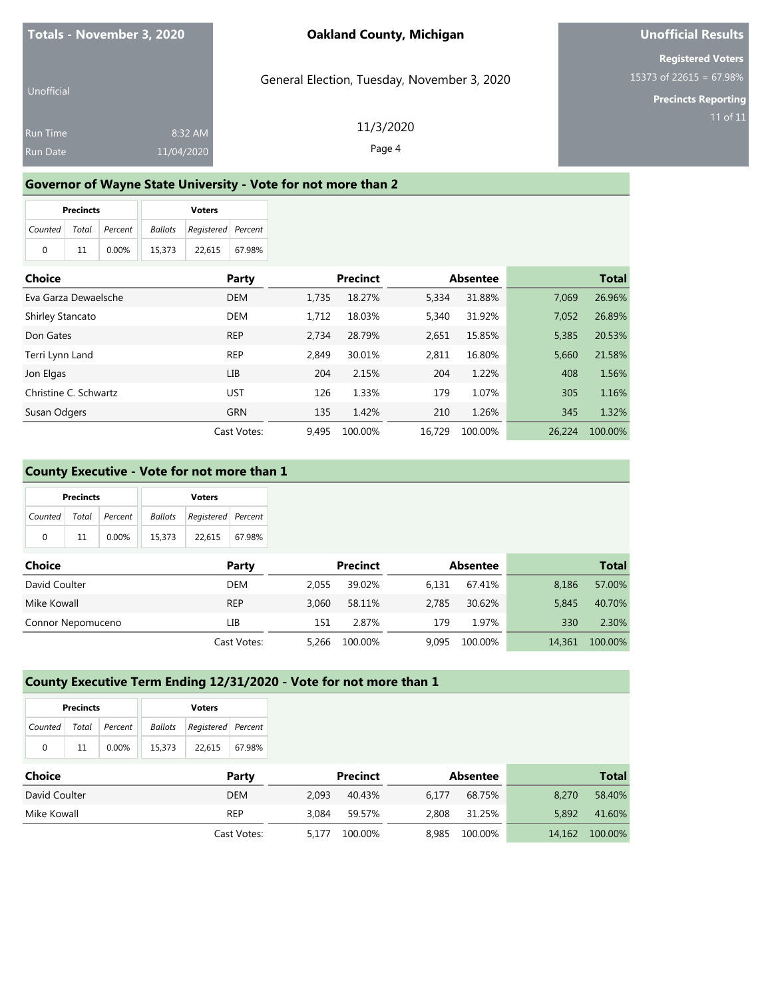## **Unofficial Results**

**Registered Voters** 15373 of 22615 = 67.98%

**Precincts Reporting**

| Unofficial      |            | General Election, Tuesday, November 3, 2020 |
|-----------------|------------|---------------------------------------------|
| <b>Run Time</b> | 8:32 AM    | 11/3/2020                                   |
| Run Date        | 11/04/2020 | Page 4                                      |

#### **Governor of Wayne State University - Vote for not more than 2**

|                       | <b>Precincts</b> |          |        | <b>Voters</b>                  |        |
|-----------------------|------------------|----------|--------|--------------------------------|--------|
| Counted Total Percent |                  |          |        | Ballots   Registered   Percent |        |
| $\Omega$              | 11               | $0.00\%$ | 15.373 | 22.615                         | 67.98% |

| <b>Choice</b>         | Party       |       | <b>Precinct</b> |        | <b>Absentee</b> |        | <b>Total</b> |
|-----------------------|-------------|-------|-----------------|--------|-----------------|--------|--------------|
| Eva Garza Dewaelsche  | <b>DEM</b>  | 1.735 | 18.27%          | 5,334  | 31.88%          | 7.069  | 26.96%       |
| Shirley Stancato      | <b>DEM</b>  | 1.712 | 18.03%          | 5,340  | 31.92%          | 7,052  | 26.89%       |
| Don Gates             | <b>REP</b>  | 2.734 | 28.79%          | 2,651  | 15.85%          | 5,385  | 20.53%       |
| Terri Lynn Land       | <b>REP</b>  | 2.849 | 30.01%          | 2.811  | 16.80%          | 5.660  | 21.58%       |
| Jon Elgas             | LIB         | 204   | 2.15%           | 204    | 1.22%           | 408    | 1.56%        |
| Christine C. Schwartz | UST         | 126   | 1.33%           | 179    | 1.07%           | 305    | 1.16%        |
| Susan Odgers          | <b>GRN</b>  | 135   | 1.42%           | 210    | 1.26%           | 345    | 1.32%        |
|                       | Cast Votes: | 9.495 | 100.00%         | 16.729 | 100.00%         | 26.224 | 100.00%      |

#### **County Executive - Vote for not more than 1**

|         | <b>Precincts</b> |               |        | <b>Voters</b>                     |        |
|---------|------------------|---------------|--------|-----------------------------------|--------|
| Counted |                  | Total Percent |        | <b>Ballots</b> Registered Percent |        |
| 0       | 11               | $0.00\%$      | 15.373 | 22.615                            | 67.98% |

| <b>Choice</b>     | Party       |       | <b>Precinct</b> |       | <b>Absentee</b> |        | <b>Total</b> |
|-------------------|-------------|-------|-----------------|-------|-----------------|--------|--------------|
| David Coulter     | <b>DEM</b>  | 2.055 | 39.02%          | 6.131 | 67.41%          | 8,186  | 57.00%       |
| Mike Kowall       | <b>REP</b>  | 3.060 | 58.11%          | 2.785 | 30.62%          | 5.845  | 40.70%       |
| Connor Nepomuceno | LІB         | 151   | 2.87%           | 179   | 1.97%           | 330    | 2.30%        |
|                   | Cast Votes: | 5.266 | 100.00%         | 9.095 | 100.00%         | 14,361 | 100.00%      |

#### **County Executive Term Ending 12/31/2020 - Vote for not more than 1**

|                       | <b>Precincts</b> |       |        | <b>Voters</b>                         |        |
|-----------------------|------------------|-------|--------|---------------------------------------|--------|
| Counted Total Percent |                  |       |        | <b>Ballots</b>   Registered   Percent |        |
| $\Omega$              | 11               | 0.00% | 15.373 | 22.615                                | 67.98% |

| Choice        | Party       | Precinct         | Absentee         | <b>Total</b>      |
|---------------|-------------|------------------|------------------|-------------------|
| David Coulter | <b>DEM</b>  | 40.43%<br>2.093  | 68.75%<br>6.177  | 58.40%<br>8.270   |
| Mike Kowall   | REP         | 59.57%<br>3.084  | 31.25%<br>2,808  | 5,892<br>41.60%   |
|               | Cast Votes: | 100.00%<br>5.177 | 8.985<br>100.00% | 14,162<br>100.00% |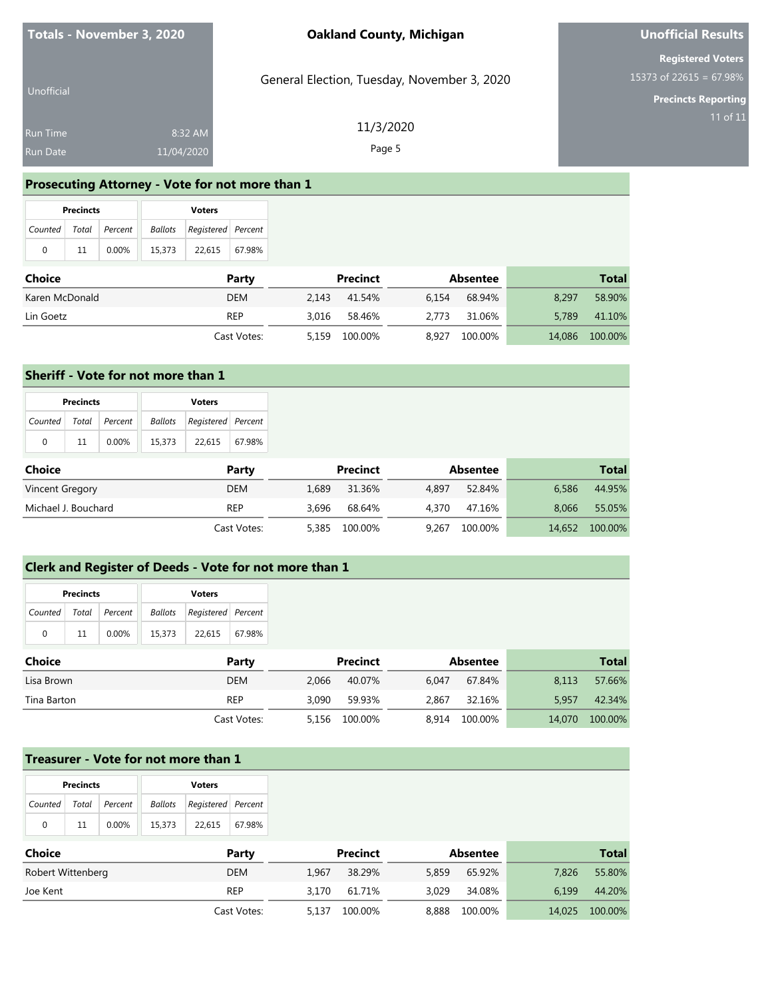General Election, Tuesday, November 3, 2020

## **Unofficial Results**

**Registered Voters** 15373 of 22615 = 67.98%

**Precincts Reporting**

| Unofficial      |            |  |
|-----------------|------------|--|
| <b>Run Time</b> | 8:32 AM    |  |
| <b>Run Date</b> | 11/04/2020 |  |

11/3/2020 Page 5

#### **Prosecuting Attorney - Vote for not more than 1**

|   | <b>Precincts</b> |                       |        | <b>Voters</b>                     |  |
|---|------------------|-----------------------|--------|-----------------------------------|--|
|   |                  | Counted Total Percent |        | <b>Ballots</b> Registered Percent |  |
| 0 | 11               | $0.00\%$              | 15,373 | 22,615   67.98%                   |  |

| <b>Choice</b>  | Party       | Precinct         | Absentee         | Total             |
|----------------|-------------|------------------|------------------|-------------------|
| Karen McDonald | <b>DEM</b>  | 41.54%<br>2.143  | 6.154<br>68.94%  | 58.90%<br>8.297   |
| Lin Goetz      | <b>REP</b>  | 58.46%<br>3.016  | 31.06%<br>2.773  | 5.789<br>41.10%   |
|                | Cast Votes: | 100.00%<br>5.159 | 8.927<br>100.00% | 14,086<br>100.00% |

#### **Sheriff - Vote for not more than 1**

|         | <b>Precincts</b> |               |        | <b>Voters</b>              |        |
|---------|------------------|---------------|--------|----------------------------|--------|
| Counted |                  | Total Percent |        | Ballots Registered Percent |        |
| 0       | 11               | 0.00%         | 15.373 | 22.615                     | 67.98% |

| Choice              | Party       | Precinct         | Absentee         | Total             |
|---------------------|-------------|------------------|------------------|-------------------|
| Vincent Gregory     | DEM         | 31.36%<br>1.689  | 52.84%<br>4.897  | 44.95%<br>6.586   |
| Michael J. Bouchard | REP         | 68.64%<br>3.696  | 4.370<br>47.16%  | 8.066<br>55.05%   |
|                     | Cast Votes: | 100.00%<br>5.385 | 100.00%<br>9.267 | 100.00%<br>14,652 |

#### **Clerk and Register of Deeds - Vote for not more than 1**

|               | <b>Precincts</b> |         |                | <b>Voters</b>      |             |       |                 |       |                 |        |              |
|---------------|------------------|---------|----------------|--------------------|-------------|-------|-----------------|-------|-----------------|--------|--------------|
| Counted       | Total            | Percent | <b>Ballots</b> | Registered Percent |             |       |                 |       |                 |        |              |
| $\mathbf 0$   | 11               | 0.00%   | 15,373         | 22,615             | 67.98%      |       |                 |       |                 |        |              |
| <b>Choice</b> |                  |         |                |                    | Party       |       | <b>Precinct</b> |       | <b>Absentee</b> |        | <b>Total</b> |
| Lisa Brown    |                  |         |                |                    | <b>DEM</b>  | 2,066 | 40.07%          | 6.047 | 67.84%          | 8,113  | 57.66%       |
| Tina Barton   |                  |         |                |                    | <b>REP</b>  | 3,090 | 59.93%          | 2,867 | 32.16%          | 5,957  | 42.34%       |
|               |                  |         |                |                    | Cast Votes: | 5,156 | 100.00%         | 8.914 | 100.00%         | 14,070 | 100.00%      |

### **Treasurer - Vote for not more than 1**

|                   | <b>Precincts</b> |         |                | <b>Voters</b>      |             |       |          |       |                 |        |              |
|-------------------|------------------|---------|----------------|--------------------|-------------|-------|----------|-------|-----------------|--------|--------------|
| Counted           | Total            | Percent | <b>Ballots</b> | Registered Percent |             |       |          |       |                 |        |              |
| $\mathbf 0$       | 11               | 0.00%   | 15,373         | 22,615             | 67.98%      |       |          |       |                 |        |              |
| <b>Choice</b>     |                  |         |                |                    | Party       |       | Precinct |       | <b>Absentee</b> |        | <b>Total</b> |
| Robert Wittenberg |                  |         |                |                    | <b>DEM</b>  | 1,967 | 38.29%   | 5,859 | 65.92%          | 7,826  | 55.80%       |
| Joe Kent          |                  |         |                |                    | <b>REP</b>  | 3.170 | 61.71%   | 3,029 | 34.08%          | 6,199  | 44.20%       |
|                   |                  |         |                |                    | Cast Votes: | 5,137 | 100.00%  | 8,888 | 100.00%         | 14,025 | 100.00%      |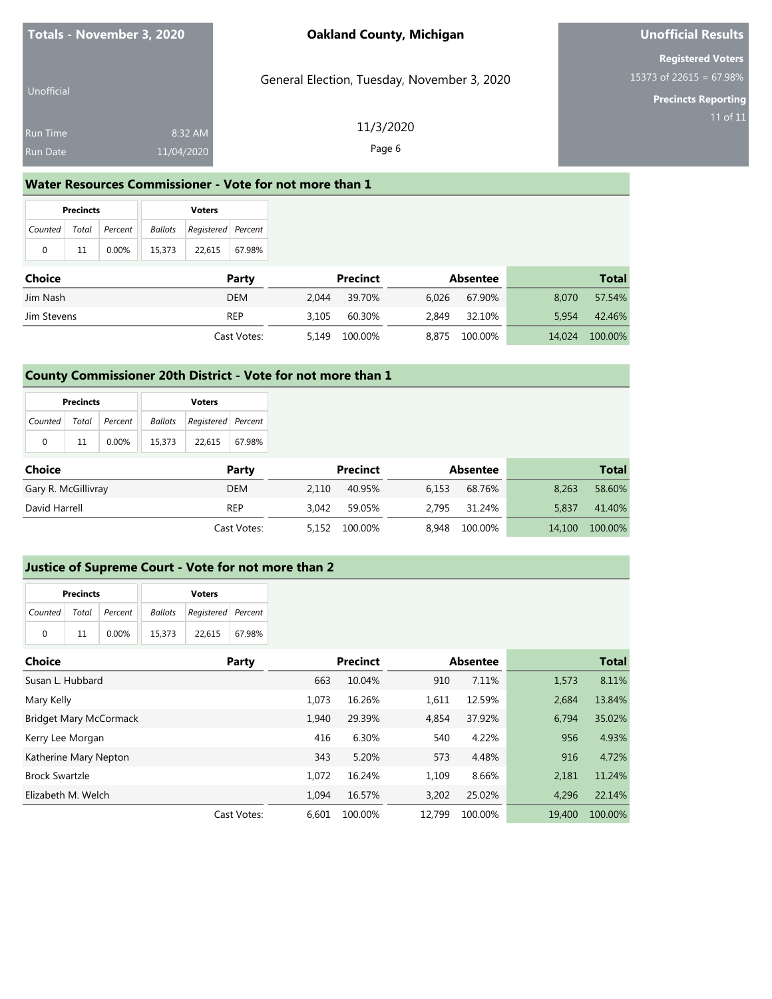## **Unofficial Results**

**Registered Voters** 15373 of 22615 = 67.98%

**Precincts Reporting**

| 11/3/2020<br>8:32 AM<br><b>Run Time</b><br>Page 6<br>11/04/2020<br>Run Date | Unofficial | General Election, Tuesday, November 3, 2020 |
|-----------------------------------------------------------------------------|------------|---------------------------------------------|
|                                                                             |            |                                             |
|                                                                             |            |                                             |

### **Water Resources Commissioner - Vote for not more than 1**

|                       | <b>Precincts</b> |          |        | <b>Voters</b>                  |        |
|-----------------------|------------------|----------|--------|--------------------------------|--------|
| Counted Total Percent |                  |          |        | Ballots   Registered   Percent |        |
| $\Omega$              | 11               | $0.00\%$ | 15.373 | 22.615                         | 67.98% |

| <b>Choice</b> | Party       | Precinct         |       | Absentee |        | Total   |
|---------------|-------------|------------------|-------|----------|--------|---------|
| Jim Nash      | <b>DEM</b>  | 39.70%<br>2.044  | 6.026 | 67.90%   | 8.070  | 57.54%  |
| Jim Stevens   | <b>REP</b>  | 60.30%<br>3.105  | 2.849 | 32.10%   | 5.954  | 42.46%  |
|               | Cast Votes: | 5.149<br>100.00% | 8.875 | 100.00%  | 14.024 | 100.00% |

### **County Commissioner 20th District - Vote for not more than 1**

|                       | <b>Precincts</b> |       |         | <b>Voters</b>      |        |
|-----------------------|------------------|-------|---------|--------------------|--------|
| Counted Total Percent |                  |       | Ballots | Registered Percent |        |
| 0                     | 11               | 0.00% | 15.373  | 22.615             | 67.98% |

| Choice              | Party       |       | Precinct |       | Absentee |        | <b>Total</b> |
|---------------------|-------------|-------|----------|-------|----------|--------|--------------|
| Gary R. McGillivray | DEM         | 2.110 | 40.95%   | 6.153 | 68.76%   | 8.263  | 58.60%       |
| David Harrell       | REP         | 3.042 | 59.05%   | 2.795 | 31.24%   | 5.837  | 41.40%       |
|                     | Cast Votes: | 5,152 | 100.00%  | 8.948 | 100.00%  | 14,100 | 100.00%      |

#### **Justice of Supreme Court - Vote for not more than 2**

| <b>Precincts</b> |                       |       |                                   | <b>Voters</b> |        |
|------------------|-----------------------|-------|-----------------------------------|---------------|--------|
|                  | Counted Total Percent |       | <b>Ballots</b> Registered Percent |               |        |
| $\Omega$         | 11                    | 0.00% | 15,373                            | 22.615        | 67.98% |

| Choice                 | Party       |       | <b>Precinct</b> |        | <b>Absentee</b> |        | <b>Total</b> |
|------------------------|-------------|-------|-----------------|--------|-----------------|--------|--------------|
| Susan L. Hubbard       |             | 663   | 10.04%          | 910    | 7.11%           | 1,573  | 8.11%        |
| Mary Kelly             |             | 1.073 | 16.26%          | 1,611  | 12.59%          | 2.684  | 13.84%       |
| Bridget Mary McCormack |             | 1.940 | 29.39%          | 4,854  | 37.92%          | 6.794  | 35.02%       |
| Kerry Lee Morgan       |             | 416   | 6.30%           | 540    | 4.22%           | 956    | 4.93%        |
| Katherine Mary Nepton  |             | 343   | 5.20%           | 573    | 4.48%           | 916    | 4.72%        |
| <b>Brock Swartzle</b>  |             | 1.072 | 16.24%          | 1,109  | 8.66%           | 2,181  | 11.24%       |
| Elizabeth M. Welch     |             | 1.094 | 16.57%          | 3.202  | 25.02%          | 4,296  | 22.14%       |
|                        | Cast Votes: | 6.601 | 100.00%         | 12.799 | 100.00%         | 19,400 | 100.00%      |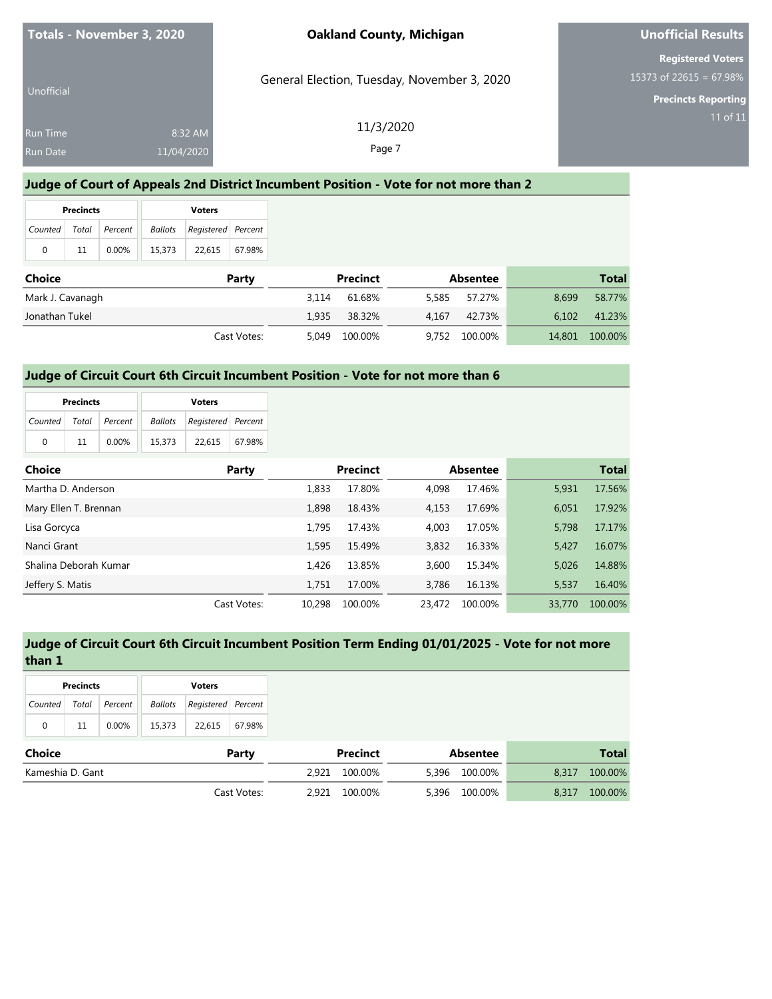| Totals - November 3, 2020          |                       | <b>Oakland County, Michigan</b>             | Unofficial Results                                                                |
|------------------------------------|-----------------------|---------------------------------------------|-----------------------------------------------------------------------------------|
| Unofficial                         |                       | General Election, Tuesday, November 3, 2020 | <b>Registered Voters</b><br>15373 of 22615 = 67.98%<br><b>Precincts Reporting</b> |
| <b>Run Time</b><br><b>Run Date</b> | 8:32 AM<br>11/04/2020 | 11/3/2020<br>Page 7                         | 11 of 11                                                                          |

## **Judge of Court of Appeals 2nd District Incumbent Position - Vote for not more than 2**

| <b>Precincts</b> |          |                       | <b>Voters</b> |                                                      |
|------------------|----------|-----------------------|---------------|------------------------------------------------------|
|                  |          |                       |               |                                                      |
| 11               | $0.00\%$ | 15,373                |               |                                                      |
|                  |          | Counted Total Percent |               | <b>Ballots</b> Registered Percent<br>22,615   67.98% |

| <b>Choice</b>    | Party       |       | Precinct |       | Absentee |        | <b>Total</b> |
|------------------|-------------|-------|----------|-------|----------|--------|--------------|
| Mark J. Cavanagh |             | 3.114 | 61.68%   | 5.585 | 57.27%   | 8.699  | 58.77%       |
| Jonathan Tukel   |             | 1.935 | 38.32%   | 4.167 | 42.73%   | 6.102  | 41.23%       |
|                  | Cast Votes: | 5.049 | 100.00%  | 9,752 | 100.00%  | 14,801 | 100.00%      |

### **Judge of Circuit Court 6th Circuit Incumbent Position - Vote for not more than 6**

| <b>Precincts</b> |    |                       |        | <b>Voters</b>                     |        |
|------------------|----|-----------------------|--------|-----------------------------------|--------|
|                  |    | Counted Total Percent |        | <b>Ballots</b> Registered Percent |        |
| $\Omega$         | 11 | $0.00\%$              | 15.373 | 22.615                            | 67.98% |

| <b>Choice</b>         | Party       |        | <b>Precinct</b> |        | <b>Absentee</b> |        | <b>Total</b> |
|-----------------------|-------------|--------|-----------------|--------|-----------------|--------|--------------|
| Martha D. Anderson    |             | 1.833  | 17.80%          | 4.098  | 17.46%          | 5.931  | 17.56%       |
| Mary Ellen T. Brennan |             | 1.898  | 18.43%          | 4.153  | 17.69%          | 6.051  | 17.92%       |
| Lisa Gorcyca          |             | 1.795  | 17.43%          | 4.003  | 17.05%          | 5.798  | 17.17%       |
| Nanci Grant           |             | 1.595  | 15.49%          | 3,832  | 16.33%          | 5.427  | 16.07%       |
| Shalina Deborah Kumar |             | 1.426  | 13.85%          | 3.600  | 15.34%          | 5.026  | 14.88%       |
| Jeffery S. Matis      |             | 1.751  | 17.00%          | 3.786  | 16.13%          | 5,537  | 16.40%       |
|                       | Cast Votes: | 10.298 | 100.00%         | 23.472 | 100.00%         | 33,770 | 100.00%      |

## **Judge of Circuit Court 6th Circuit Incumbent Position Term Ending 01/01/2025 - Vote for not more than 1**

| <b>Precincts</b> |    |                       |        | <b>Voters</b>                     |        |
|------------------|----|-----------------------|--------|-----------------------------------|--------|
|                  |    | Counted Total Percent |        | <b>Ballots</b> Registered Percent |        |
| 0                | 11 | $0.00\%$              | 15,373 | 22.615                            | 67.98% |

| Choice           | Party       | Precinct      |       | Absentee |       | Total   |
|------------------|-------------|---------------|-------|----------|-------|---------|
| Kameshia D. Gant |             | 2.921 100.00% | 5,396 | 100.00%  | 8.317 | 100.00% |
|                  | Cast Votes: | 2.921 100.00% | 5,396 | 100.00%  | 8.317 | 100.00% |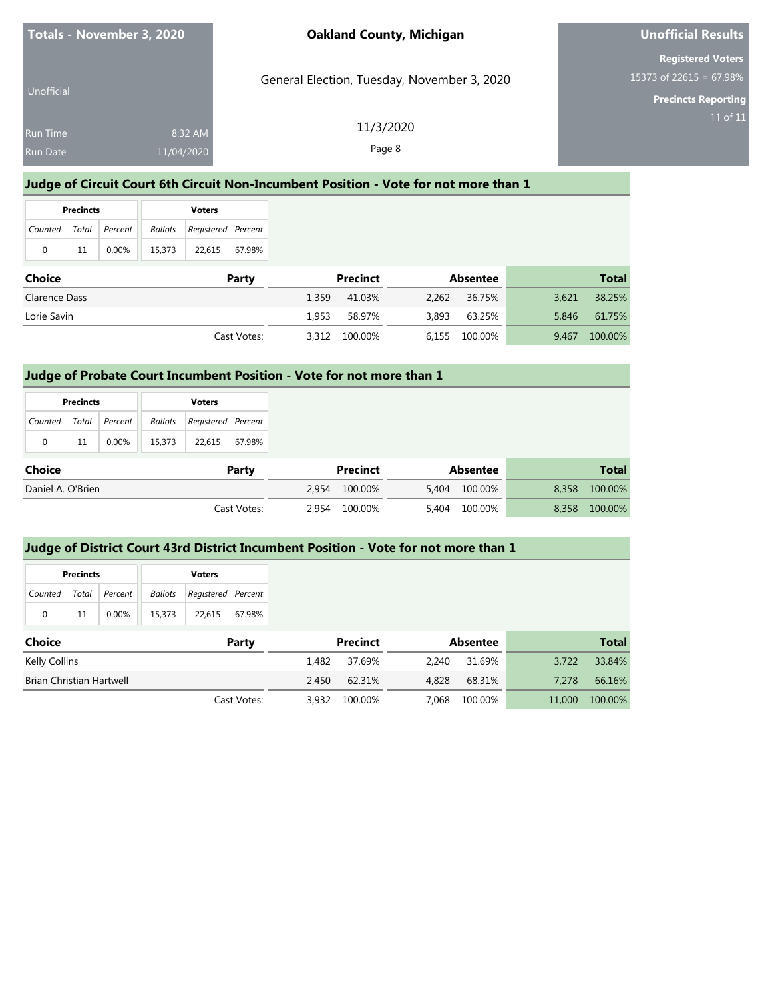| Totals - November 3, 2020                                   | <b>Oakland County, Michigan</b>             | <b>Unofficial Results</b>                           |
|-------------------------------------------------------------|---------------------------------------------|-----------------------------------------------------|
| Unofficial                                                  | General Election, Tuesday, November 3, 2020 | <b>Registered Voters</b><br>15373 of 22615 = 67.98% |
| 8:32 AM<br><b>Run Time</b><br><b>Run Date</b><br>11/04/2020 | 11/3/2020<br>Page 8                         | <b>Precincts Reporting</b><br>11 of 11              |

## **Judge of Circuit Court 6th Circuit Non-Incumbent Position - Vote for not more than 1**

| <b>Precincts</b>          |    |       |                                 | <b>Voters</b> |        |
|---------------------------|----|-------|---------------------------------|---------------|--------|
| Counted   Total   Percent |    |       | Registered   Percent<br>Ballots |               |        |
| 0                         | 11 | 0.00% | 15,373                          | 22,615        | 67.98% |

| Choice        | Party       |       | <b>Precinct</b> |       | Absentee      |       | <b>Total</b> |
|---------------|-------------|-------|-----------------|-------|---------------|-------|--------------|
| Clarence Dass |             | 1.359 | 41.03%          | 2.262 | 36.75%        | 3.621 | 38.25%       |
| Lorie Savin   |             | 1.953 | 58.97%          | 3,893 | 63.25%        | 5.846 | 61.75%       |
|               | Cast Votes: |       | 3,312 100.00%   |       | 6,155 100.00% | 9.467 | 100.00%      |

### **Judge of Probate Court Incumbent Position - Vote for not more than 1**

|                   | <b>Precincts</b> |         |                | <b>Voters</b>      |             |
|-------------------|------------------|---------|----------------|--------------------|-------------|
| Counted           | Total            | Percent | <b>Ballots</b> | Registered Percent |             |
| $\mathbf 0$       | 11               | 0.00%   | 15,373         | 22,615             | 67.98%      |
| <b>Choice</b>     |                  |         |                |                    | Party       |
| Daniel A. O'Brien |                  |         |                |                    |             |
|                   |                  |         |                |                    | Cast Votes: |

### **Judge of District Court 43rd District Incumbent Position - Vote for not more than 1**

|                                 | <b>Precincts</b> |         |                | <b>Voters</b>      |             |       |                 |       |                 |        |
|---------------------------------|------------------|---------|----------------|--------------------|-------------|-------|-----------------|-------|-----------------|--------|
| Counted                         | Total            | Percent | <b>Ballots</b> | Registered Percent |             |       |                 |       |                 |        |
| $\mathbf 0$                     | 11               | 0.00%   | 15,373         | 22,615             | 67.98%      |       |                 |       |                 |        |
| <b>Choice</b>                   |                  |         |                |                    | Party       |       | <b>Precinct</b> |       | <b>Absentee</b> |        |
| Kelly Collins                   |                  |         |                |                    |             | 1,482 | 37.69%          | 2,240 | 31.69%          | 3,722  |
| <b>Brian Christian Hartwell</b> |                  |         |                |                    |             | 2,450 | 62.31%          | 4,828 | 68.31%          | 7.278  |
|                                 |                  |         |                |                    | Cast Votes: | 3.932 | 100.00%         | 7.068 | 100.00%         | 11,000 |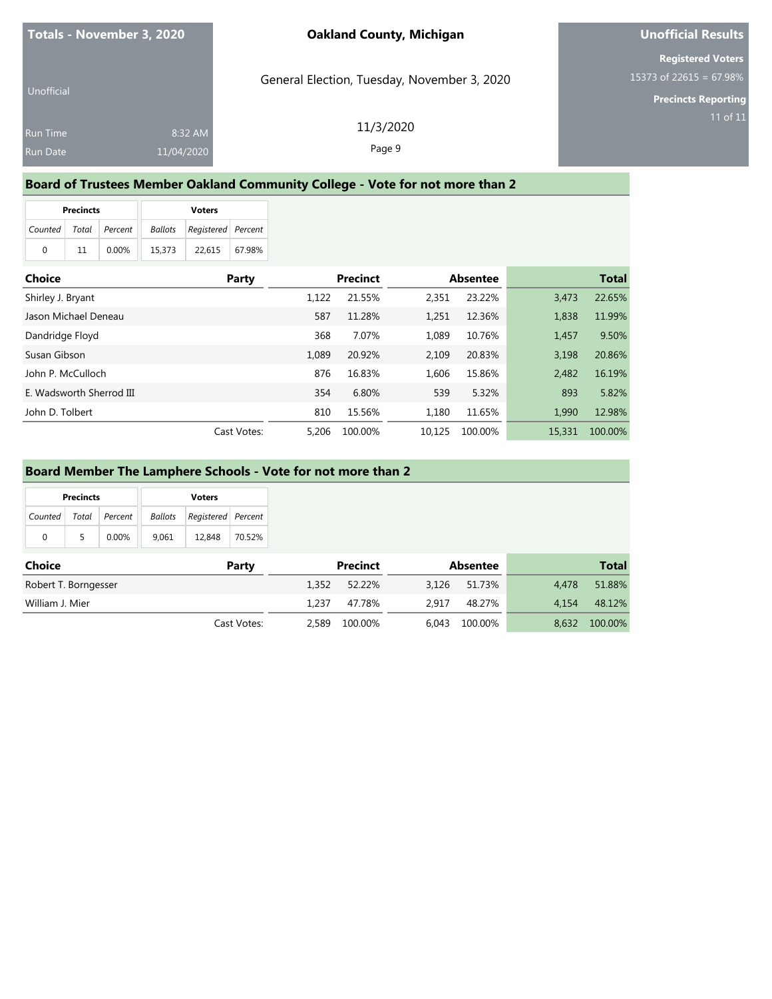#### **Board of Trustees Member Oakland Community College - Vote for not more than 2**

| <b>Precincts</b> |    |                       |  | <b>Voters</b> |                            |        |  |  |
|------------------|----|-----------------------|--|---------------|----------------------------|--------|--|--|
|                  |    | Counted Total Percent |  |               | Ballots Registered Percent |        |  |  |
| 0                | 11 | 0.00%                 |  | 15.373        | 22.615                     | 67.98% |  |  |

| <b>Choice</b>            | Party       | <b>Precinct</b> |         | <b>Absentee</b> |         |        | <b>Total</b> |
|--------------------------|-------------|-----------------|---------|-----------------|---------|--------|--------------|
| Shirley J. Bryant        |             | 1.122           | 21.55%  | 2,351           | 23.22%  | 3.473  | 22.65%       |
| Jason Michael Deneau     |             | 587             | 11.28%  | 1,251           | 12.36%  | 1,838  | 11.99%       |
| Dandridge Floyd          |             | 368             | 7.07%   | 1.089           | 10.76%  | 1,457  | 9.50%        |
| Susan Gibson             |             | 1.089           | 20.92%  | 2.109           | 20.83%  | 3.198  | 20.86%       |
| John P. McCulloch        |             | 876             | 16.83%  | 1.606           | 15.86%  | 2,482  | 16.19%       |
| E. Wadsworth Sherrod III |             | 354             | 6.80%   | 539             | 5.32%   | 893    | 5.82%        |
| John D. Tolbert          |             | 810             | 15.56%  | 1.180           | 11.65%  | 1.990  | 12.98%       |
|                          | Cast Votes: | 5,206           | 100.00% | 10.125          | 100.00% | 15,331 | 100.00%      |

#### **Board Member The Lamphere Schools - Vote for not more than 2**

|         | <b>Precincts</b> |                 | <b>Voters</b>  |                    |        |  |  |
|---------|------------------|-----------------|----------------|--------------------|--------|--|--|
| Counted |                  | Total   Percent | <b>Ballots</b> | Registered Percent |        |  |  |
| 0       | 5                | $0.00\%$        | 9.061          | 12,848             | 70.52% |  |  |

| <b>Choice</b>        | Party       | <b>Precinct</b>  | <b>Absentee</b>  | <b>Total</b>     |
|----------------------|-------------|------------------|------------------|------------------|
| Robert T. Borngesser |             | 52.22%<br>1.352  | 51.73%<br>3.126  | 51.88%<br>4.478  |
| William J. Mier      |             | 1.237<br>47.78%  | 48.27%<br>2.917  | 48.12%<br>4.154  |
|                      | Cast Votes: | 100.00%<br>2.589 | 100.00%<br>6.043 | 8.632<br>100.00% |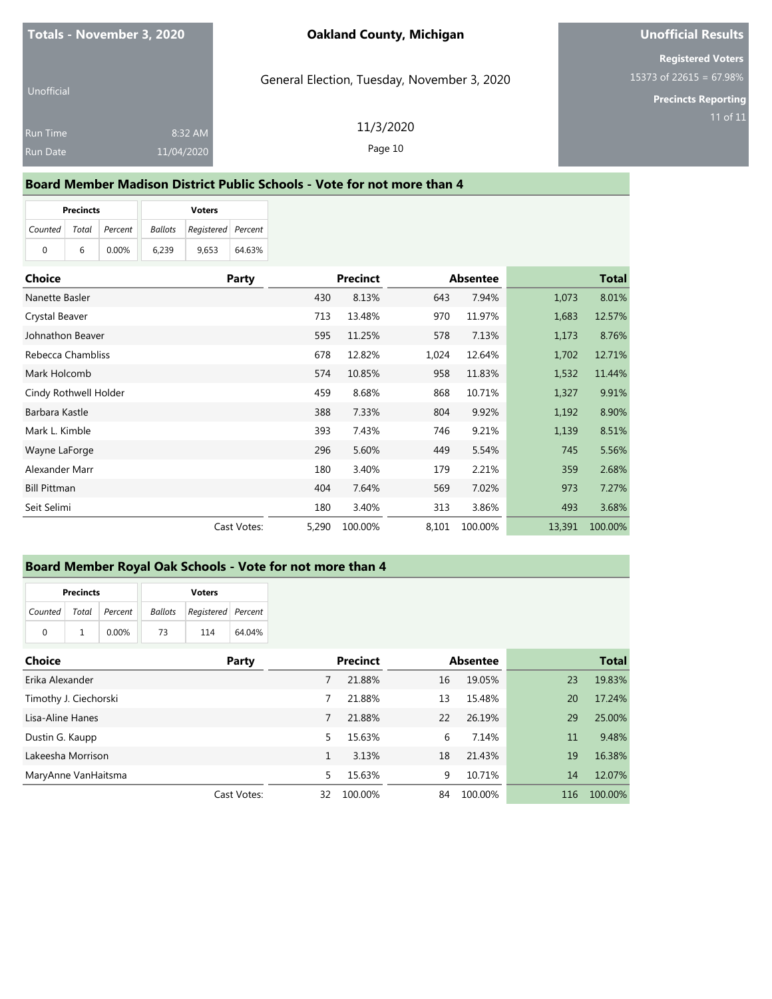General Election, Tuesday, November 3, 2020

## **Unofficial Results**

**Registered Voters** 15373 of 22615 = 67.98%

**Precincts Reporting**

Unofficial Run Time 8:32 AM 11/04/2020

11/3/2020 Page 10

# **Board Member Madison District Public Schools - Vote for not more than 4**

|         | <b>Precincts</b> |          | <b>Voters</b>  |                    |        |  |  |
|---------|------------------|----------|----------------|--------------------|--------|--|--|
| Counted | Total            | Percent  | <b>Ballots</b> | Registered Percent |        |  |  |
| 0       | 6                | $0.00\%$ | 6.239          | 9.653              | 64.63% |  |  |

| <b>Choice</b>         | Party       | <b>Precinct</b> |         | <b>Absentee</b> |         | <b>Total</b> |         |
|-----------------------|-------------|-----------------|---------|-----------------|---------|--------------|---------|
| Nanette Basler        |             | 430             | 8.13%   | 643             | 7.94%   | 1,073        | 8.01%   |
| Crystal Beaver        |             | 713             | 13.48%  | 970             | 11.97%  | 1,683        | 12.57%  |
| Johnathon Beaver      |             | 595             | 11.25%  | 578             | 7.13%   | 1,173        | 8.76%   |
| Rebecca Chambliss     |             | 678             | 12.82%  | 1,024           | 12.64%  | 1,702        | 12.71%  |
| Mark Holcomb          |             | 574             | 10.85%  | 958             | 11.83%  | 1,532        | 11.44%  |
| Cindy Rothwell Holder |             | 459             | 8.68%   | 868             | 10.71%  | 1,327        | 9.91%   |
| Barbara Kastle        |             | 388             | 7.33%   | 804             | 9.92%   | 1,192        | 8.90%   |
| Mark L. Kimble        |             | 393             | 7.43%   | 746             | 9.21%   | 1,139        | 8.51%   |
| Wayne LaForge         |             | 296             | 5.60%   | 449             | 5.54%   | 745          | 5.56%   |
| Alexander Marr        |             | 180             | 3.40%   | 179             | 2.21%   | 359          | 2.68%   |
| <b>Bill Pittman</b>   |             | 404             | 7.64%   | 569             | 7.02%   | 973          | 7.27%   |
| Seit Selimi           |             | 180             | 3.40%   | 313             | 3.86%   | 493          | 3.68%   |
|                       | Cast Votes: | 5,290           | 100.00% | 8,101           | 100.00% | 13,391       | 100.00% |

#### **Board Member Royal Oak Schools - Vote for not more than 4**

|                       | <b>Precincts</b> |       | <b>Voters</b> |                    |        |  |  |
|-----------------------|------------------|-------|---------------|--------------------|--------|--|--|
| Counted Total Percent |                  |       | Ballots       | Registered Percent |        |  |  |
| $\Omega$              |                  | 0.00% | 73            | 114                | 64.04% |  |  |

| <b>Choice</b>         | Party       | <b>Precinct</b> |         | <b>Absentee</b> |         |     | <b>Total</b> |
|-----------------------|-------------|-----------------|---------|-----------------|---------|-----|--------------|
| Erika Alexander       |             |                 | 21.88%  | 16              | 19.05%  | 23  | 19.83%       |
| Timothy J. Ciechorski |             |                 | 21.88%  | 13              | 15.48%  | 20  | 17.24%       |
| Lisa-Aline Hanes      |             | 7               | 21.88%  | 22              | 26.19%  | 29  | 25.00%       |
| Dustin G. Kaupp       |             | 5               | 15.63%  | 6               | 7.14%   | 11  | 9.48%        |
| Lakeesha Morrison     |             |                 | 3.13%   | 18              | 21.43%  | 19  | 16.38%       |
| MaryAnne VanHaitsma   |             | 5               | 15.63%  | 9               | 10.71%  | 14  | 12.07%       |
|                       | Cast Votes: | 32              | 100.00% | 84              | 100.00% | 116 | 100.00%      |